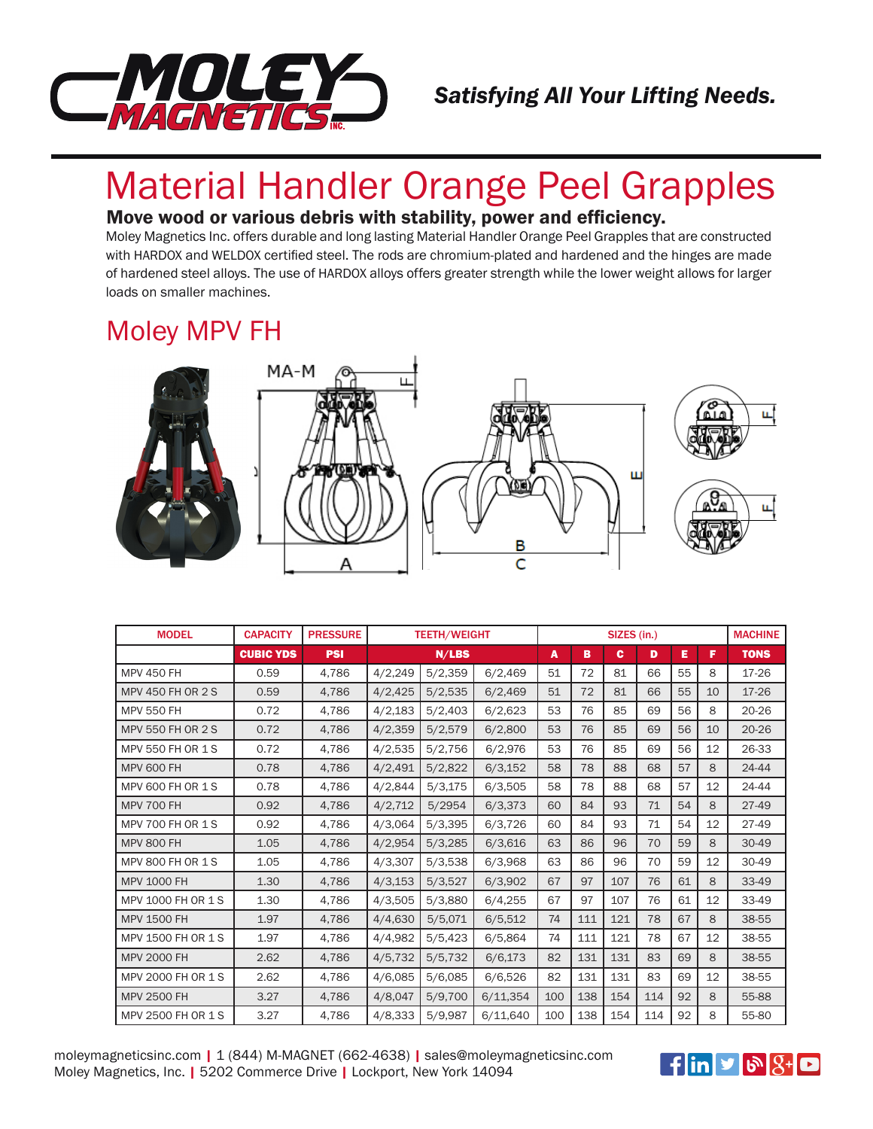

#### *Satisfying All Your Lifting Needs.*

# Material Handler Orange Peel Grapples

#### Move wood or various debris with stability, power and efficiency.

Moley Magnetics Inc. offers durable and long lasting Material Handler Orange Peel Grapples that are constructed with HARDOX and WELDOX certified steel. The rods are chromium-plated and hardened and the hinges are made of hardened steel alloys. The use of HARDOX alloys offers greater strength while the lower weight allows for larger loads on smaller machines.

## Moley MPV FH



| <b>MODEL</b>             | <b>CAPACITY</b>  | <b>PRESSURE</b> | <b>TEETH/WEIGHT</b> |         |          | SIZES (in.) |     |     |     |    |    | <b>MACHINE</b> |
|--------------------------|------------------|-----------------|---------------------|---------|----------|-------------|-----|-----|-----|----|----|----------------|
|                          | <b>CUBIC YDS</b> | <b>PSI</b>      |                     | N/LBS   |          | A           | в   | c   | D   | Е  | F  | <b>TONS</b>    |
| <b>MPV 450 FH</b>        | 0.59             | 4,786           | 4/2,249             | 5/2,359 | 6/2,469  | 51          | 72  | 81  | 66  | 55 | 8  | 17-26          |
| <b>MPV 450 FH OR 2 S</b> | 0.59             | 4,786           | 4/2,425             | 5/2,535 | 6/2,469  | 51          | 72  | 81  | 66  | 55 | 10 | 17-26          |
| <b>MPV 550 FH</b>        | 0.72             | 4,786           | 4/2,183             | 5/2,403 | 6/2,623  | 53          | 76  | 85  | 69  | 56 | 8  | $20 - 26$      |
| <b>MPV 550 FH OR 2 S</b> | 0.72             | 4,786           | 4/2,359             | 5/2,579 | 6/2,800  | 53          | 76  | 85  | 69  | 56 | 10 | $20 - 26$      |
| <b>MPV 550 FH OR 1 S</b> | 0.72             | 4,786           | 4/2,535             | 5/2,756 | 6/2,976  | 53          | 76  | 85  | 69  | 56 | 12 | 26-33          |
| <b>MPV 600 FH</b>        | 0.78             | 4,786           | 4/2,491             | 5/2,822 | 6/3,152  | 58          | 78  | 88  | 68  | 57 | 8  | 24-44          |
| MPV 600 FH OR 1 S        | 0.78             | 4,786           | 4/2,844             | 5/3,175 | 6/3.505  | 58          | 78  | 88  | 68  | 57 | 12 | 24-44          |
| <b>MPV 700 FH</b>        | 0.92             | 4,786           | 4/2,712             | 5/2954  | 6/3,373  | 60          | 84  | 93  | 71  | 54 | 8  | $27 - 49$      |
| <b>MPV 700 FH OR 1 S</b> | 0.92             | 4,786           | 4/3,064             | 5/3,395 | 6/3,726  | 60          | 84  | 93  | 71  | 54 | 12 | $27 - 49$      |
| <b>MPV 800 FH</b>        | 1.05             | 4,786           | 4/2,954             | 5/3,285 | 6/3,616  | 63          | 86  | 96  | 70  | 59 | 8  | 30-49          |
| MPV 800 FH OR 1 S        | 1.05             | 4.786           | 4/3,307             | 5/3,538 | 6/3,968  | 63          | 86  | 96  | 70  | 59 | 12 | 30-49          |
| <b>MPV 1000 FH</b>       | 1.30             | 4,786           | 4/3,153             | 5/3,527 | 6/3,902  | 67          | 97  | 107 | 76  | 61 | 8  | 33-49          |
| MPV 1000 FH OR 1 S       | 1.30             | 4,786           | 4/3,505             | 5/3,880 | 6/4,255  | 67          | 97  | 107 | 76  | 61 | 12 | 33-49          |
| <b>MPV 1500 FH</b>       | 1.97             | 4,786           | 4/4,630             | 5/5,071 | 6/5,512  | 74          | 111 | 121 | 78  | 67 | 8  | 38-55          |
| MPV 1500 FH OR 1 S       | 1.97             | 4,786           | 4/4,982             | 5/5,423 | 6/5.864  | 74          | 111 | 121 | 78  | 67 | 12 | 38-55          |
| <b>MPV 2000 FH</b>       | 2.62             | 4,786           | 4/5,732             | 5/5,732 | 6/6,173  | 82          | 131 | 131 | 83  | 69 | 8  | 38-55          |
| MPV 2000 FH OR 1 S       | 2.62             | 4,786           | 4/6,085             | 5/6,085 | 6/6,526  | 82          | 131 | 131 | 83  | 69 | 12 | 38-55          |
| <b>MPV 2500 FH</b>       | 3.27             | 4,786           | 4/8,047             | 5/9,700 | 6/11,354 | 100         | 138 | 154 | 114 | 92 | 8  | 55-88          |
| MPV 2500 FH OR 1 S       | 3.27             | 4,786           | 4/8,333             | 5/9,987 | 6/11,640 | 100         | 138 | 154 | 114 | 92 | 8  | 55-80          |

moleymagneticsinc.com | 1 (844) M-MAGNET (662-4638) | sales@moleymagneticsinc.com Moley Magnetics, Inc. | 5202 Commerce Drive | Lockport, New York 14094